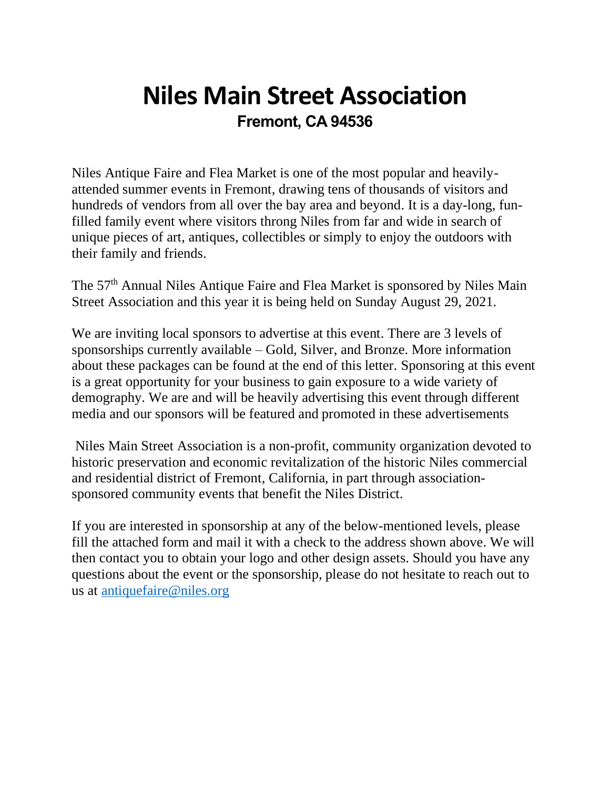## **Niles Main Street Association Fremont, CA 94536**

Niles Antique Faire and Flea Market is one of the most popular and heavilyattended summer events in Fremont, drawing tens of thousands of visitors and hundreds of vendors from all over the bay area and beyond. It is a day-long, funfilled family event where visitors throng Niles from far and wide in search of unique pieces of art, antiques, collectibles or simply to enjoy the outdoors with their family and friends.

The 57th Annual Niles Antique Faire and Flea Market is sponsored by Niles Main Street Association and this year it is being held on Sunday August 29, 2021.

We are inviting local sponsors to advertise at this event. There are 3 levels of sponsorships currently available – Gold, Silver, and Bronze. More information about these packages can be found at the end of this letter. Sponsoring at this event is a great opportunity for your business to gain exposure to a wide variety of demography. We are and will be heavily advertising this event through different media and our sponsors will be featured and promoted in these advertisements

Niles Main Street Association is a non-profit, community organization devoted to historic preservation and economic revitalization of the historic Niles commercial and residential district of Fremont, California, in part through associationsponsored community events that benefit the Niles District.

If you are interested in sponsorship at any of the below-mentioned levels, please fill the attached form and mail it with a check to the address shown above. We will then contact you to obtain your logo and other design assets. Should you have any questions about the event or the sponsorship, please do not hesitate to reach out to us at [antiquefaire@niles.org](mailto:antiquefaire@niles.org)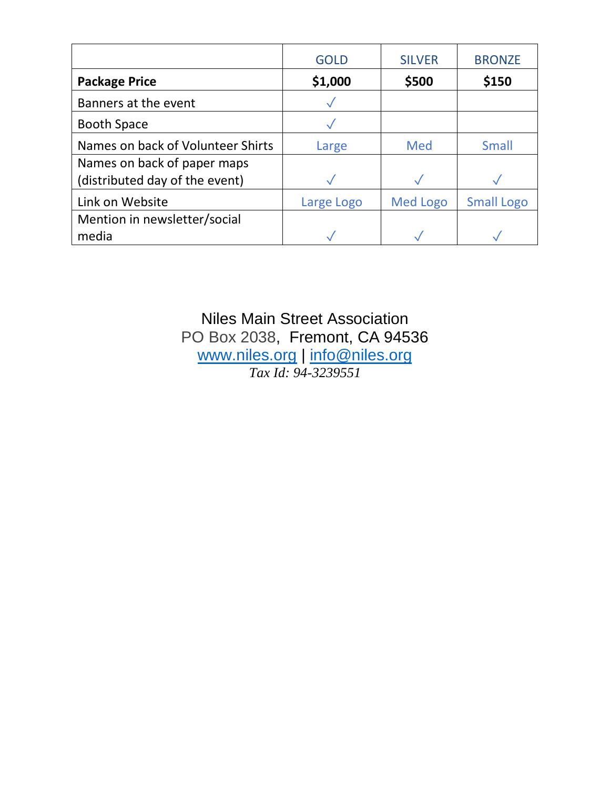|                                   | <b>GOLD</b> | <b>SILVER</b>   | <b>BRONZE</b>     |
|-----------------------------------|-------------|-----------------|-------------------|
| <b>Package Price</b>              | \$1,000     | \$500           | \$150             |
| Banners at the event              |             |                 |                   |
| <b>Booth Space</b>                |             |                 |                   |
| Names on back of Volunteer Shirts | Large       | Med             | <b>Small</b>      |
| Names on back of paper maps       |             |                 |                   |
| (distributed day of the event)    |             |                 |                   |
| Link on Website                   | Large Logo  | <b>Med Logo</b> | <b>Small Logo</b> |
| Mention in newsletter/social      |             |                 |                   |
| media                             |             |                 |                   |

Niles Main Street Association PO Box 2038, Fremont, CA 94536 [www.niles.org](http://www.niles.org/) | [info@niles.org](mailto:niles.org) *Tax Id: 94-3239551*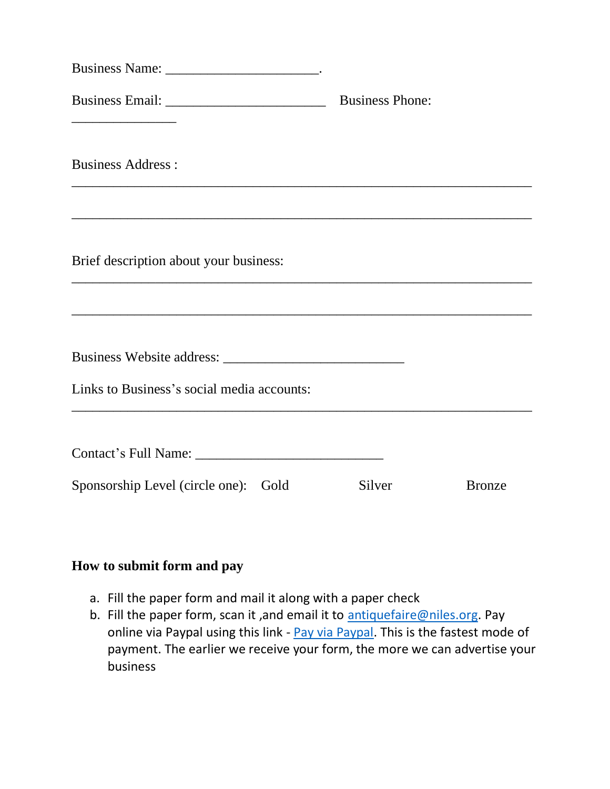| Business Name: ____________________________.                                                                          |                        |               |
|-----------------------------------------------------------------------------------------------------------------------|------------------------|---------------|
|                                                                                                                       | <b>Business Phone:</b> |               |
| <b>Business Address:</b>                                                                                              |                        |               |
| <u> 1989 - Johann Stoff, deutscher Stoff, der Stoff, der Stoff, der Stoff, der Stoff, der Stoff, der Stoff, der S</u> |                        |               |
| Brief description about your business:                                                                                |                        |               |
|                                                                                                                       |                        |               |
|                                                                                                                       |                        |               |
| Links to Business's social media accounts:                                                                            |                        |               |
|                                                                                                                       |                        |               |
|                                                                                                                       |                        |               |
| Sponsorship Level (circle one): Gold                                                                                  | Silver                 | <b>Bronze</b> |

## **How to submit form and pay**

- a. Fill the paper form and mail it along with a paper check
- b. Fill the paper form, scan it, and email it to [antiquefaire@niles.org.](mailto:antiquefaire@niles.org) Pay online via Paypal using this link - [Pay via Paypal.](https://paypal.me/NMSANiles?locale.x=en_US) This is the fastest mode of payment. The earlier we receive your form, the more we can advertise your business